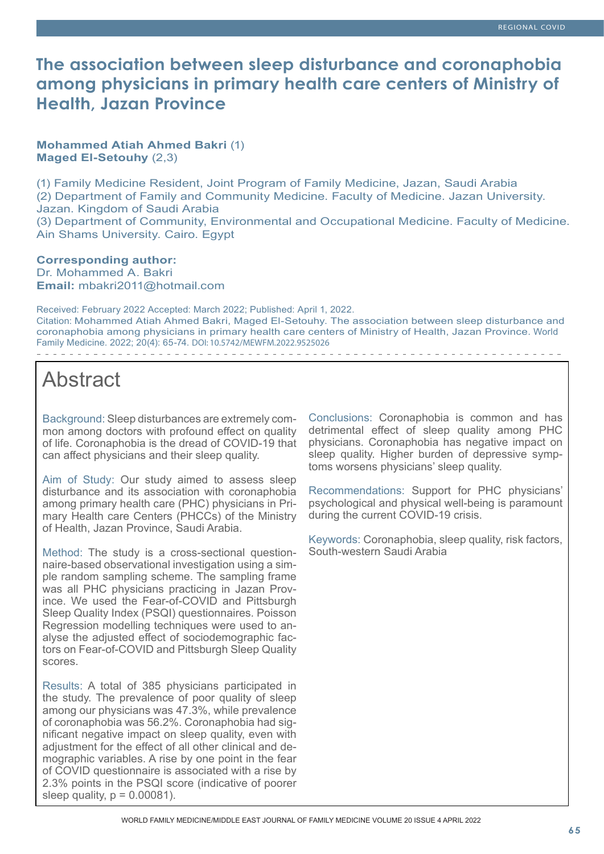# **The association between sleep disturbance and coronaphobia among physicians in primary health care centers of Ministry of Health, Jazan Province**

**Mohammed Atiah Ahmed Bakri** (1) **Maged El-Setouhy** (2,3)

(1) Family Medicine Resident, Joint Program of Family Medicine, Jazan, Saudi Arabia (2) Department of Family and Community Medicine. Faculty of Medicine. Jazan University. Jazan. Kingdom of Saudi Arabia (3) Department of Community, Environmental and Occupational Medicine. Faculty of Medicine. Ain Shams University. Cairo. Egypt

**Corresponding author:** Dr. Mohammed A. Bakri **Email:** mbakri2011@hotmail.com

Received: February 2022 Accepted: March 2022; Published: April 1, 2022. Citation: Mohammed Atiah Ahmed Bakri, Maged El-Setouhy. The association between sleep disturbance and coronaphobia among physicians in primary health care centers of Ministry of Health, Jazan Province. World Family Medicine. 2022; 20(4): 65-74. DOI: 10.5742/MEWFM.2022.9525026 

# Abstract

Background: Sleep disturbances are extremely common among doctors with profound effect on quality of life. Coronaphobia is the dread of COVID-19 that can affect physicians and their sleep quality.

Aim of Study: Our study aimed to assess sleep disturbance and its association with coronaphobia among primary health care (PHC) physicians in Primary Health care Centers (PHCCs) of the Ministry of Health, Jazan Province, Saudi Arabia.

Method: The study is a cross-sectional questionnaire-based observational investigation using a simple random sampling scheme. The sampling frame was all PHC physicians practicing in Jazan Province. We used the Fear-of-COVID and Pittsburgh Sleep Quality Index (PSQI) questionnaires. Poisson Regression modelling techniques were used to analyse the adjusted effect of sociodemographic factors on Fear-of-COVID and Pittsburgh Sleep Quality scores.

Results: A total of 385 physicians participated in the study. The prevalence of poor quality of sleep among our physicians was 47.3%, while prevalence of coronaphobia was 56.2%. Coronaphobia had significant negative impact on sleep quality, even with adjustment for the effect of all other clinical and demographic variables. A rise by one point in the fear of COVID questionnaire is associated with a rise by 2.3% points in the PSQI score (indicative of poorer sleep quality,  $p = 0.00081$ ).

Conclusions: Coronaphobia is common and has detrimental effect of sleep quality among PHC physicians. Coronaphobia has negative impact on sleep quality. Higher burden of depressive symptoms worsens physicians' sleep quality.

Recommendations: Support for PHC physicians' psychological and physical well-being is paramount during the current COVID-19 crisis.

Keywords: Coronaphobia, sleep quality, risk factors, South-western Saudi Arabia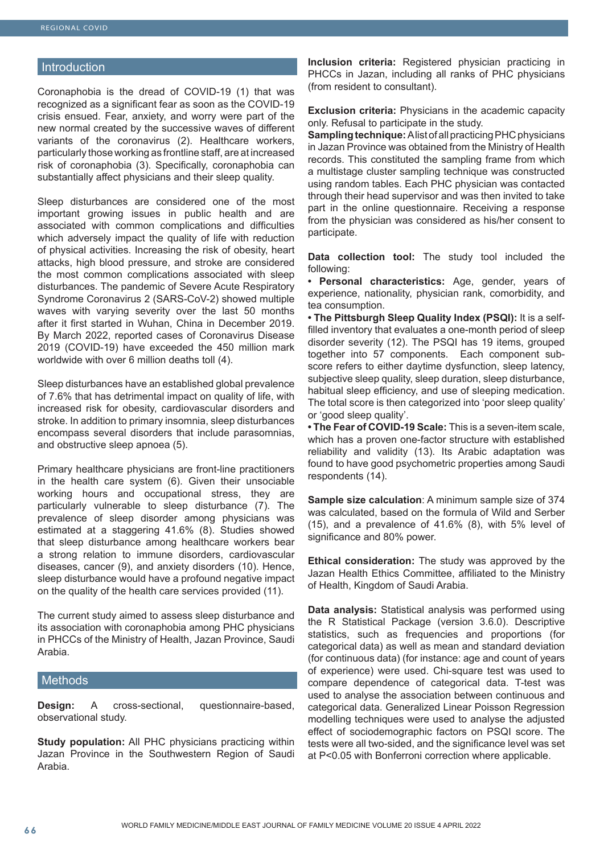#### **Introduction**

Coronaphobia is the dread of COVID-19 (1) that was recognized as a significant fear as soon as the COVID-19 crisis ensued. Fear, anxiety, and worry were part of the new normal created by the successive waves of different variants of the coronavirus (2). Healthcare workers, particularly those working as frontline staff, are at increased risk of coronaphobia (3). Specifically, coronaphobia can substantially affect physicians and their sleep quality.

Sleep disturbances are considered one of the most important growing issues in public health and are associated with common complications and difficulties which adversely impact the quality of life with reduction of physical activities. Increasing the risk of obesity, heart attacks, high blood pressure, and stroke are considered the most common complications associated with sleep disturbances. The pandemic of Severe Acute Respiratory Syndrome Coronavirus 2 (SARS-CoV-2) showed multiple waves with varying severity over the last 50 months after it first started in Wuhan, China in December 2019. By March 2022, reported cases of Coronavirus Disease 2019 (COVID-19) have exceeded the 450 million mark worldwide with over 6 million deaths toll (4).

Sleep disturbances have an established global prevalence of 7.6% that has detrimental impact on quality of life, with increased risk for obesity, cardiovascular disorders and stroke. In addition to primary insomnia, sleep disturbances encompass several disorders that include parasomnias, and obstructive sleep apnoea (5).

Primary healthcare physicians are front-line practitioners in the health care system (6). Given their unsociable working hours and occupational stress, they are particularly vulnerable to sleep disturbance (7). The prevalence of sleep disorder among physicians was estimated at a staggering 41.6% (8). Studies showed that sleep disturbance among healthcare workers bear a strong relation to immune disorders, cardiovascular diseases, cancer (9), and anxiety disorders (10). Hence, sleep disturbance would have a profound negative impact on the quality of the health care services provided (11).

The current study aimed to assess sleep disturbance and its association with coronaphobia among PHC physicians in PHCCs of the Ministry of Health, Jazan Province, Saudi Arabia.

#### Methods

**Design:** A cross-sectional, questionnaire-based, observational study.

**Study population:** All PHC physicians practicing within Jazan Province in the Southwestern Region of Saudi Arabia.

**Inclusion criteria:** Registered physician practicing in PHCCs in Jazan, including all ranks of PHC physicians (from resident to consultant).

**Exclusion criteria:** Physicians in the academic capacity only. Refusal to participate in the study.

**Sampling technique:** Alist of all practicing PHC physicians in Jazan Province was obtained from the Ministry of Health records. This constituted the sampling frame from which a multistage cluster sampling technique was constructed using random tables. Each PHC physician was contacted through their head supervisor and was then invited to take part in the online questionnaire. Receiving a response from the physician was considered as his/her consent to participate.

**Data collection tool:** The study tool included the following:

**• Personal characteristics:** Age, gender, years of experience, nationality, physician rank, comorbidity, and tea consumption.

**• The Pittsburgh Sleep Quality Index (PSQI):** It is a selffilled inventory that evaluates a one-month period of sleep disorder severity (12). The PSQI has 19 items, grouped together into 57 components. Each component subscore refers to either daytime dysfunction, sleep latency, subjective sleep quality, sleep duration, sleep disturbance, habitual sleep efficiency, and use of sleeping medication. The total score is then categorized into 'poor sleep quality' or 'good sleep quality'.

**• The Fear of COVID-19 Scale:** This is a seven-item scale, which has a proven one-factor structure with established reliability and validity (13). Its Arabic adaptation was found to have good psychometric properties among Saudi respondents (14).

**Sample size calculation**: A minimum sample size of 374 was calculated, based on the formula of Wild and Serber (15), and a prevalence of 41.6% (8), with 5% level of significance and 80% power.

**Ethical consideration:** The study was approved by the Jazan Health Ethics Committee, affiliated to the Ministry of Health, Kingdom of Saudi Arabia.

**Data analysis:** Statistical analysis was performed using the R Statistical Package (version 3.6.0). Descriptive statistics, such as frequencies and proportions (for categorical data) as well as mean and standard deviation (for continuous data) (for instance: age and count of years of experience) were used. Chi-square test was used to compare dependence of categorical data. T-test was used to analyse the association between continuous and categorical data. Generalized Linear Poisson Regression modelling techniques were used to analyse the adjusted effect of sociodemographic factors on PSQI score. The tests were all two-sided, and the significance level was set at P<0.05 with Bonferroni correction where applicable.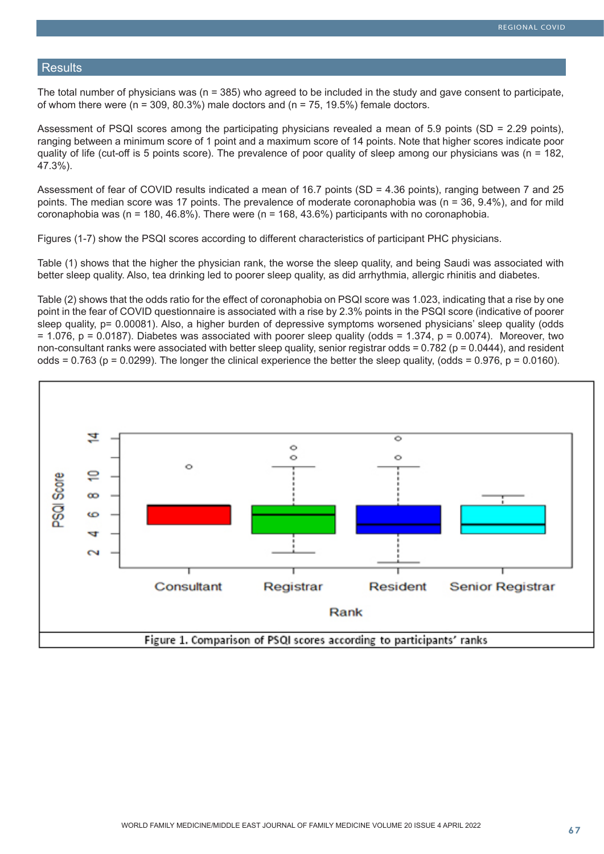#### **Results**

The total number of physicians was (n = 385) who agreed to be included in the study and gave consent to participate, of whom there were ( $n = 309, 80.3\%$ ) male doctors and ( $n = 75, 19.5\%$ ) female doctors.

Assessment of PSQI scores among the participating physicians revealed a mean of 5.9 points (SD = 2.29 points), ranging between a minimum score of 1 point and a maximum score of 14 points. Note that higher scores indicate poor quality of life (cut-off is 5 points score). The prevalence of poor quality of sleep among our physicians was ( $n = 182$ , 47.3%).

Assessment of fear of COVID results indicated a mean of 16.7 points (SD = 4.36 points), ranging between 7 and 25 points. The median score was 17 points. The prevalence of moderate coronaphobia was (n = 36, 9.4%), and for mild coronaphobia was (n = 180, 46.8%). There were (n = 168, 43.6%) participants with no coronaphobia.

Figures (1-7) show the PSQI scores according to different characteristics of participant PHC physicians.

Table (1) shows that the higher the physician rank, the worse the sleep quality, and being Saudi was associated with better sleep quality. Also, tea drinking led to poorer sleep quality, as did arrhythmia, allergic rhinitis and diabetes.

Table (2) shows that the odds ratio for the effect of coronaphobia on PSQI score was 1.023, indicating that a rise by one point in the fear of COVID questionnaire is associated with a rise by 2.3% points in the PSQI score (indicative of poorer sleep quality, p= 0.00081). Also, a higher burden of depressive symptoms worsened physicians' sleep quality (odds  $= 1.076$ , p = 0.0187). Diabetes was associated with poorer sleep quality (odds = 1.374, p = 0.0074). Moreover, two non-consultant ranks were associated with better sleep quality, senior registrar odds =  $0.782$  (p =  $0.0444$ ), and resident odds =  $0.763$  (p =  $0.0299$ ). The longer the clinical experience the better the sleep quality, (odds =  $0.976$ , p =  $0.0160$ ).

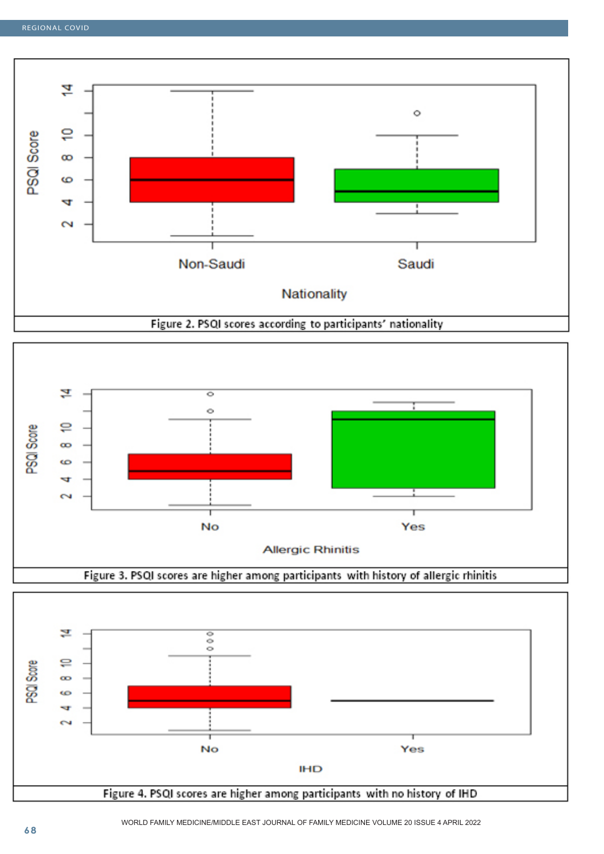



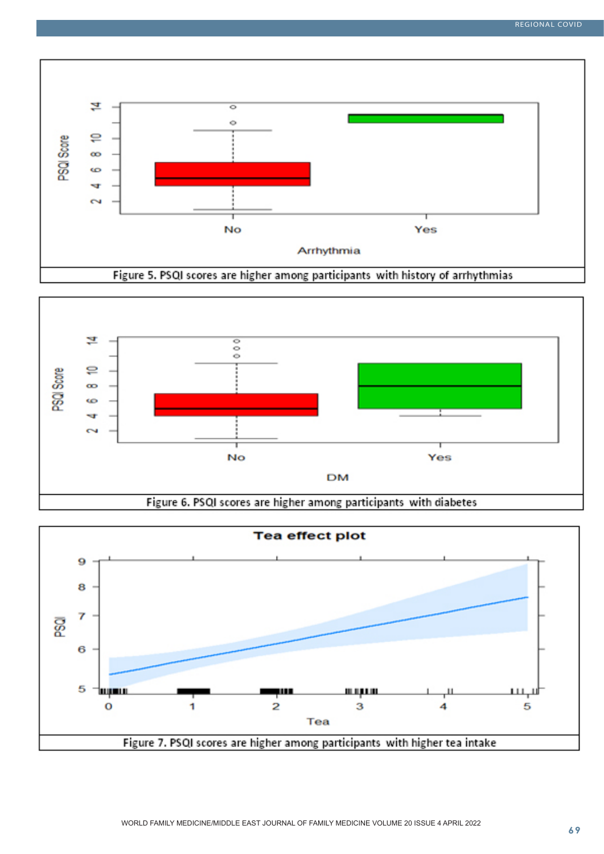



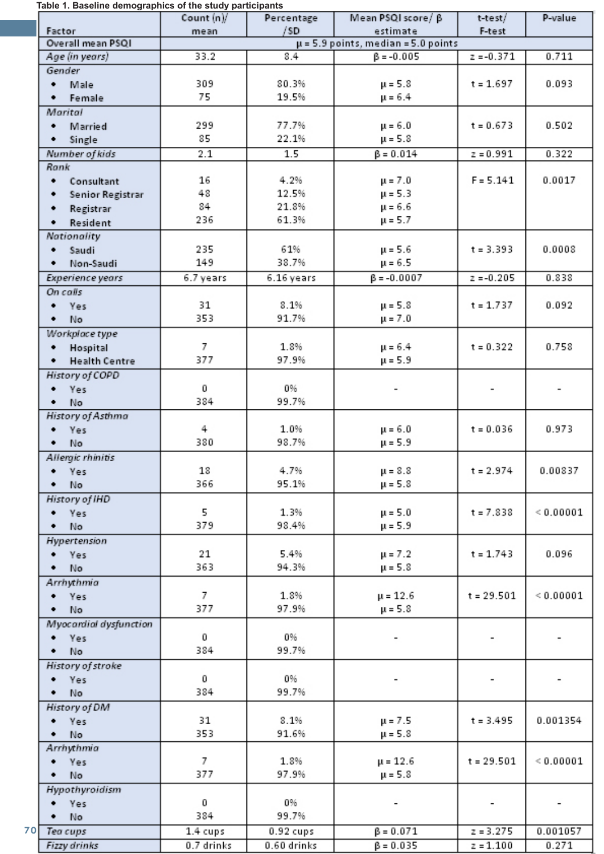## **Table 1. Baseline demographics of the study participants**

|    |                           | Count (n)/ | Percentage  | Mean PSQI score/β                                           | t-test/      | P-value                  |
|----|---------------------------|------------|-------------|-------------------------------------------------------------|--------------|--------------------------|
|    | Factor                    | mean       | /SD         | estimate                                                    | F-test       |                          |
|    | Overall mean PSQI         |            |             |                                                             |              |                          |
|    | Age (in years)            | 33.2       | 8.4         | $\mu$ = 5.9 points, median = 5.0 points<br>$\beta = -0.005$ | $z = -0.371$ | 0.711                    |
|    | Gender                    |            |             |                                                             |              |                          |
|    | Male<br>٠                 | 309        | 80.3%       | $\mu = 5.8$                                                 | $t = 1.697$  | 0.093                    |
|    |                           | 75         | 19.5%       | $\mu = 6.4$                                                 |              |                          |
|    | Female<br>٠               |            |             |                                                             |              |                          |
|    | Marital                   |            |             |                                                             |              |                          |
|    | Married<br>٠              | 299        | 77.7%       | $\mu = 6.0$                                                 | $t = 0.673$  | 0.502                    |
|    | Single<br>٠               | 85         | 22.1%       | $\mu = 5.8$                                                 |              |                          |
|    | Number of kids            | 2.1        | 1.5         | $\beta = 0.014$                                             | $z = 0.991$  | 0.322                    |
|    | Rank                      |            |             |                                                             |              |                          |
|    | Consultant<br>٠           | 16         | 4.2%        | $\mu = 7.0$                                                 | $F = 5.141$  | 0.0017                   |
|    | Senior Registrar          | 48         | 12.5%       | $\mu = 5.3$                                                 |              |                          |
|    |                           | 84         | 21.8%       | $\mu = 6.6$                                                 |              |                          |
|    | Registrar<br>٠            | 236        | 61.3%       |                                                             |              |                          |
|    | Resident<br>٠             |            |             | $\mu = 5.7$                                                 |              |                          |
|    | Nationality               |            |             |                                                             |              |                          |
|    | Saudi<br>٠                | 235        | 61%         | $\mu = 5.6$                                                 | $t = 3.393$  | 0.0008                   |
|    | Non-Saudi<br>٠            | 149        | 38.7%       | $\mu = 6.5$                                                 |              |                          |
|    | Experience years          | 6.7 years  | 6.16 years  | $\beta = -0.0007$                                           | $z = -0.205$ | 0.838                    |
|    | On calls                  |            |             |                                                             |              |                          |
|    | Yes<br>٠                  | 31         | 8.1%        | $\mu = 5.8$                                                 | t = 1.737    | 0.092                    |
|    | No<br>٠                   | 353        | 91.7%       | $\mu = 7.0$                                                 |              |                          |
|    |                           |            |             |                                                             |              |                          |
|    | Workplace type            |            |             |                                                             |              |                          |
|    | Hospital<br>٠             | 7          | 1.8%        | $\mu = 6.4$                                                 | $t = 0.322$  | 0.758                    |
|    | <b>Health Centre</b><br>٠ | 377        | 97.9%       | $\mu = 5.9$                                                 |              |                          |
|    | History of COPD           |            |             |                                                             |              |                          |
|    | Yes                       | 0          | 0%          | $\overline{\phantom{a}}$                                    |              | $\overline{\phantom{a}}$ |
|    | No<br>٠                   | 384        | 99.7%       |                                                             |              |                          |
|    | History of Asthma         |            |             |                                                             |              |                          |
|    | Yes                       | 4          | 1.0%        | $\mu = 6.0$                                                 | $t = 0.036$  | 0.973                    |
|    | No                        | 380        | 98.7%       | $\mu = 5.9$                                                 |              |                          |
|    | Allergic rhinitis         |            |             |                                                             |              |                          |
|    | Yes                       | 18         | 4.7%        | $\mu = 8.8$                                                 | $t = 2.974$  | 0.00837                  |
|    | No                        | 366        | 95.1%       | $\mu = 5.8$                                                 |              |                          |
|    |                           |            |             |                                                             |              |                          |
|    | History of IHD            |            |             |                                                             |              |                          |
|    | Yes<br>٠                  | 5          | 1.3%        | $\mu = 5.0$                                                 | $t = 7.838$  | < 0.00001                |
|    | No                        | 379        | 98.4%       | $\mu = 5.9$                                                 |              |                          |
|    | Hypertension              |            |             |                                                             |              |                          |
|    | Yes                       | 21         | 5.4%        | $\mu = 7.2$                                                 | $t = 1.743$  | 0.096                    |
|    | No                        | 363        | 94.3%       | $\mu = 5.8$                                                 |              |                          |
|    | Arrhythmia                |            |             |                                                             |              |                          |
|    | Yes                       | 7          | 1.8%        | $\mu = 12.6$                                                | $t = 29.501$ | < 0.00001                |
|    | No<br>٠                   | 377        | 97.9%       | $\mu = 5.8$                                                 |              |                          |
|    | Myocardial dysfunction    |            |             |                                                             |              |                          |
|    | Yes                       | 0          | 0%          |                                                             |              |                          |
|    | No                        | 384        | 99.7%       |                                                             |              |                          |
|    |                           |            |             |                                                             |              |                          |
|    | History of stroke         |            |             |                                                             |              |                          |
|    | Yes                       | 0          | 0%          |                                                             |              |                          |
|    | No                        | 384        | 99.7%       |                                                             |              |                          |
|    | History of DM             |            |             |                                                             |              |                          |
|    | Yes<br>٠                  | 31         | 8.1%        | μ = 7.5                                                     | $t = 3.495$  | 0.001354                 |
|    | No                        | 353        | 91.6%       | $\mu = 5.8$                                                 |              |                          |
|    | Arrhythmia                |            |             |                                                             |              |                          |
|    | Yes                       | 7          | 1.8%        | $\mu = 12.6$                                                | $t = 29.501$ | ${}< 0.00001$            |
|    | No<br>٠                   | 377        | 97.9%       | $\mu = 5.8$                                                 |              |                          |
|    | Hypothyroidism            |            |             |                                                             |              |                          |
|    | Yes                       | 0          | 0%          | $\overline{\phantom{a}}$                                    |              |                          |
|    | No<br>٠                   | 384        | 99.7%       |                                                             |              |                          |
| 70 |                           |            |             | $\beta = 0.071$                                             | $z = 3.275$  | 0.001057                 |
|    | Tea cups                  | 1.4 cups   | 0.92 cups   |                                                             |              |                          |
|    | Fizzy drinks              | 0.7 drinks | 0.60 drinks | $\beta = 0.035$                                             | $z = 1.100$  | 0.271                    |

-1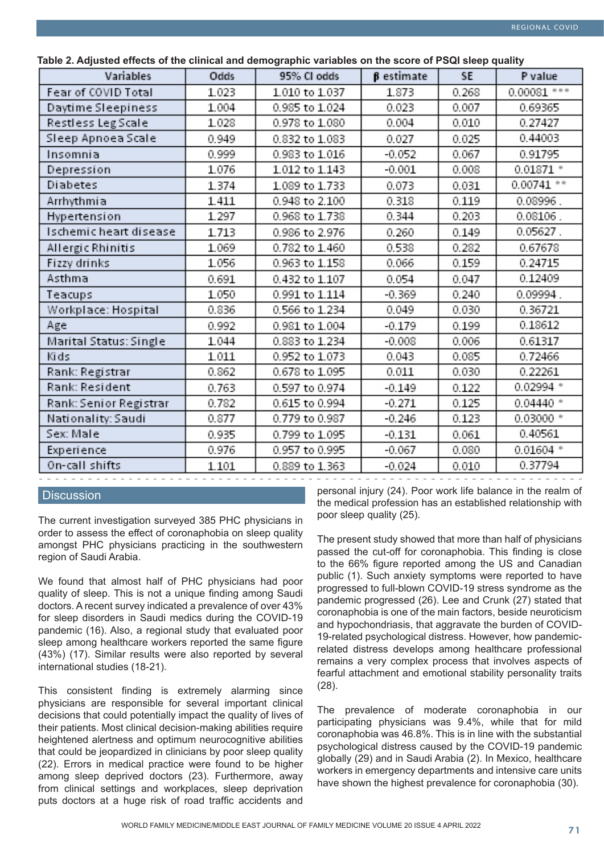| Variables              | Odds  | 95% Cl odds    | $\beta$ estimate | <b>SE</b> | P value       |
|------------------------|-------|----------------|------------------|-----------|---------------|
| Fear of COVID Total    | 1.023 | 1.010 to 1.037 | 1.873            | 0.268     | $0.00081$ *** |
| Daytime Sleepiness     | 1.004 | 0.985 to 1.024 | 0.023            | 0.007     | 0.69365       |
| Restless Leg Scale     | 1.028 | 0.978 to 1.080 | 0.004            | 0.010     | 0.27427       |
| Sleep Apnoea Scale     | 0.949 | 0.832 to 1.083 | 0.027            | 0.025     | 0.44003       |
| Insomnia               | 0.999 | 0.983 to 1.016 | $-0.052$         | 0.067     | 0.91795       |
| Depression             | 1.076 | 1.012 to 1.143 | $-0.001$         | 0.008     | $0.01871$ *   |
| Diabetes               | 1.374 | 1.089 to 1.733 | 0.073            | 0.031     | $0.00741$ **  |
| Arrhythmia             | 1.411 | 0.948 to 2.100 | 0.318            | 0.119     | 0.08996.      |
| Hypertension           | 1.297 | 0.968 to 1.738 | 0.344            | 0.203     | 0.08106.      |
| Ischemic heart disease | 1.713 | 0.986 to 2.976 | 0.260            | 0.149     | 0.05627.      |
| Allergic Rhinitis      | 1.069 | 0.782 to 1.460 | 0.538            | 0.282     | 0.67678       |
| Fizzy drinks           | 1.056 | 0.963 to 1.158 | 0.066            | 0.159     | 0.24715       |
| Asthma                 | 0.691 | 0.432 to 1.107 | 0.054            | 0.047     | 0.12409       |
| Teacups                | 1.050 | 0.991 to 1.114 | $-0.369$         | 0.240     | 0.09994.      |
| Workplace: Hospital    | 0.836 | 0.566 to 1.234 | 0.049            | 0.030     | 0.36721       |
| Age                    | 0.992 | 0.981 to 1.004 | $-0.179$         | 0.199     | 0.18612       |
| Marital Status: Single | 1.044 | 0.883 to 1.234 | $-0.008$         | 0.006     | 0.61317       |
| Kids                   | 1.011 | 0.952 to 1.073 | 0.043            | 0.085     | 0.72466       |
| Rank: Registrar        | 0.862 | 0.678 to 1.095 | 0.011            | 0.030     | 0.22261       |
| Rank: Resident         | 0.763 | 0.597 to 0.974 | $-0.149$         | 0.122     | $0.02994$ *   |
| Rank: Senior Registrar | 0.782 | 0.615 to 0.994 | $-0.271$         | 0.125     | $0.04440$ *   |
| Nationality: Saudi     | 0.877 | 0.779 to 0.987 | $-0.246$         | 0.123     | 0.03000 *     |
| Sex: Male              | 0.935 | 0.799 to 1.095 | $-0.131$         | 0.061     | 0.40561       |
| Experience             | 0.976 | 0.957 to 0.995 | $-0.067$         | 0.080     | $0.01604$ *   |
| On-call shifts         | 1.101 | 0.889 to 1.363 | $-0.024$         | 0.010     | 0.37794       |

### **Discussion**

The current investigation surveyed 385 PHC physicians in order to assess the effect of coronaphobia on sleep quality amongst PHC physicians practicing in the southwestern region of Saudi Arabia.

We found that almost half of PHC physicians had poor quality of sleep. This is not a unique finding among Saudi doctors. A recent survey indicated a prevalence of over 43% for sleep disorders in Saudi medics during the COVID-19 pandemic (16). Also, a regional study that evaluated poor sleep among healthcare workers reported the same figure (43%) (17). Similar results were also reported by several international studies (18-21).

This consistent finding is extremely alarming since physicians are responsible for several important clinical decisions that could potentially impact the quality of lives of their patients. Most clinical decision-making abilities require heightened alertness and optimum neurocognitive abilities that could be jeopardized in clinicians by poor sleep quality (22). Errors in medical practice were found to be higher among sleep deprived doctors (23). Furthermore, away from clinical settings and workplaces, sleep deprivation puts doctors at a huge risk of road traffic accidents and

personal injury (24). Poor work life balance in the realm of the medical profession has an established relationship with poor sleep quality (25).

The present study showed that more than half of physicians passed the cut-off for coronaphobia. This finding is close to the 66% figure reported among the US and Canadian public (1). Such anxiety symptoms were reported to have progressed to full-blown COVID-19 stress syndrome as the pandemic progressed (26). Lee and Crunk (27) stated that coronaphobia is one of the main factors, beside neuroticism and hypochondriasis, that aggravate the burden of COVID-19-related psychological distress. However, how pandemicrelated distress develops among healthcare professional remains a very complex process that involves aspects of fearful attachment and emotional stability personality traits (28).

The prevalence of moderate coronaphobia in our participating physicians was 9.4%, while that for mild coronaphobia was 46.8%. This is in line with the substantial psychological distress caused by the COVID-19 pandemic globally (29) and in Saudi Arabia (2). In Mexico, healthcare workers in emergency departments and intensive care units have shown the highest prevalence for coronaphobia (30).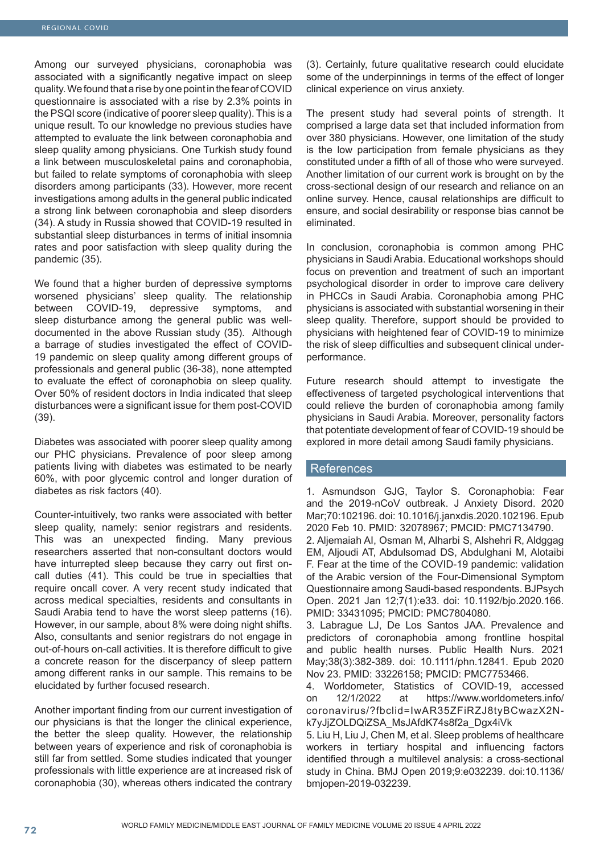Among our surveyed physicians, coronaphobia was associated with a significantly negative impact on sleep quality. We found that a rise by one point in the fear of COVID questionnaire is associated with a rise by 2.3% points in the PSQI score (indicative of poorer sleep quality). This is a unique result. To our knowledge no previous studies have attempted to evaluate the link between coronaphobia and sleep quality among physicians. One Turkish study found a link between musculoskeletal pains and coronaphobia, but failed to relate symptoms of coronaphobia with sleep disorders among participants (33). However, more recent investigations among adults in the general public indicated a strong link between coronaphobia and sleep disorders (34). A study in Russia showed that COVID-19 resulted in substantial sleep disturbances in terms of initial insomnia rates and poor satisfaction with sleep quality during the pandemic (35).

We found that a higher burden of depressive symptoms worsened physicians' sleep quality. The relationship between COVID-19, depressive symptoms, and sleep disturbance among the general public was welldocumented in the above Russian study (35). Although a barrage of studies investigated the effect of COVID-19 pandemic on sleep quality among different groups of professionals and general public (36-38), none attempted to evaluate the effect of coronaphobia on sleep quality. Over 50% of resident doctors in India indicated that sleep disturbances were a significant issue for them post-COVID (39).

Diabetes was associated with poorer sleep quality among our PHC physicians. Prevalence of poor sleep among patients living with diabetes was estimated to be nearly 60%, with poor glycemic control and longer duration of diabetes as risk factors (40).

Counter-intuitively, two ranks were associated with better sleep quality, namely: senior registrars and residents. This was an unexpected finding. Many previous researchers asserted that non-consultant doctors would have inturrepted sleep because they carry out first oncall duties (41). This could be true in specialties that require oncall cover. A very recent study indicated that across medical specialties, residents and consultants in Saudi Arabia tend to have the worst sleep patterns (16). However, in our sample, about 8% were doing night shifts. Also, consultants and senior registrars do not engage in out-of-hours on-call activities. It is therefore difficult to give a concrete reason for the discerpancy of sleep pattern among different ranks in our sample. This remains to be elucidated by further focused research.

Another important finding from our current investigation of our physicians is that the longer the clinical experience, the better the sleep quality. However, the relationship between years of experience and risk of coronaphobia is still far from settled. Some studies indicated that younger professionals with little experience are at increased risk of coronaphobia (30), whereas others indicated the contrary (3). Certainly, future qualitative research could elucidate some of the underpinnings in terms of the effect of longer clinical experience on virus anxiety.

The present study had several points of strength. It comprised a large data set that included information from over 380 physicians. However, one limitation of the study is the low participation from female physicians as they constituted under a fifth of all of those who were surveyed. Another limitation of our current work is brought on by the cross-sectional design of our research and reliance on an online survey. Hence, causal relationships are difficult to ensure, and social desirability or response bias cannot be eliminated.

In conclusion, coronaphobia is common among PHC physicians in Saudi Arabia. Educational workshops should focus on prevention and treatment of such an important psychological disorder in order to improve care delivery in PHCCs in Saudi Arabia. Coronaphobia among PHC physicians is associated with substantial worsening in their sleep quality. Therefore, support should be provided to physicians with heightened fear of COVID-19 to minimize the risk of sleep difficulties and subsequent clinical underperformance.

Future research should attempt to investigate the effectiveness of targeted psychological interventions that could relieve the burden of coronaphobia among family physicians in Saudi Arabia. Moreover, personality factors that potentiate development of fear of COVID-19 should be explored in more detail among Saudi family physicians.

#### **References**

1. Asmundson GJG, Taylor S. Coronaphobia: Fear and the 2019-nCoV outbreak. J Anxiety Disord. 2020 Mar;70:102196. doi: 10.1016/j.janxdis.2020.102196. Epub 2020 Feb 10. PMID: 32078967; PMCID: PMC7134790. 2. Aljemaiah AI, Osman M, Alharbi S, Alshehri R, Aldggag EM, Aljoudi AT, Abdulsomad DS, Abdulghani M, Alotaibi

F. Fear at the time of the COVID-19 pandemic: validation of the Arabic version of the Four-Dimensional Symptom Questionnaire among Saudi-based respondents. BJPsych Open. 2021 Jan 12;7(1):e33. doi: 10.1192/bjo.2020.166. PMID: 33431095; PMCID: PMC7804080.

3. Labrague LJ, De Los Santos JAA. Prevalence and predictors of coronaphobia among frontline hospital and public health nurses. Public Health Nurs. 2021 May;38(3):382-389. doi: 10.1111/phn.12841. Epub 2020 Nov 23. PMID: 33226158; PMCID: PMC7753466.

4. Worldometer, Statistics of COVID-19, accessed on 12/1/2022 at https://www.worldometers.info/ coronavirus/?fbclid=IwAR35ZFiRZJ8tyBCwazX2Nk7yJjZOLDQiZSA\_MsJAfdK74s8f2a\_Dgx4iVk

5. Liu H, Liu J, Chen M, et al. Sleep problems of healthcare workers in tertiary hospital and influencing factors identified through a multilevel analysis: a cross-sectional study in China. BMJ Open 2019;9:e032239. doi:10.1136/ bmjopen-2019-032239.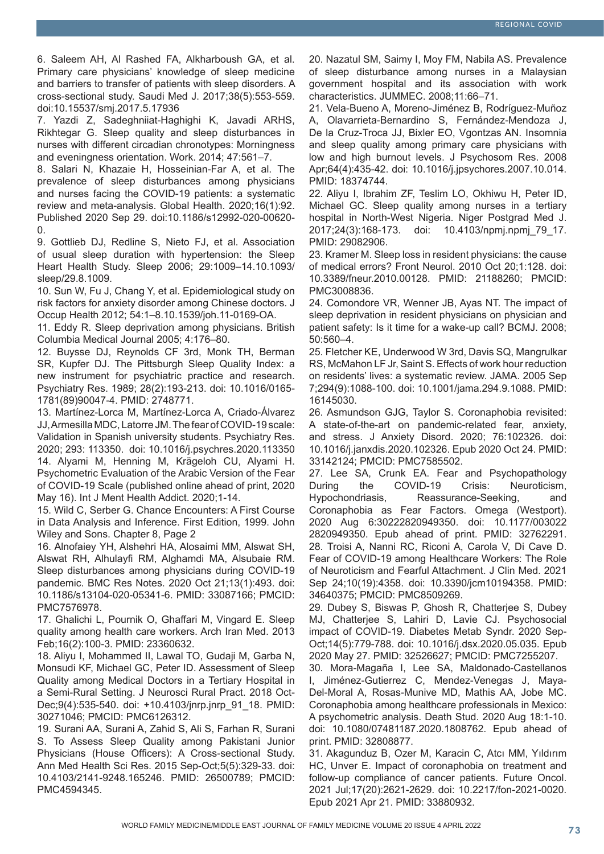6. Saleem AH, Al Rashed FA, Alkharboush GA, et al. Primary care physicians' knowledge of sleep medicine and barriers to transfer of patients with sleep disorders. A cross-sectional study. Saudi Med J. 2017;38(5):553-559. doi:10.15537/smj.2017.5.17936

7. Yazdi Z, Sadeghniiat-Haghighi K, Javadi ARHS, Rikhtegar G. Sleep quality and sleep disturbances in nurses with different circadian chronotypes: Morningness and eveningness orientation. Work. 2014; 47:561–7.

8. Salari N, Khazaie H, Hosseinian-Far A, et al. The prevalence of sleep disturbances among physicians and nurses facing the COVID-19 patients: a systematic review and meta-analysis. Global Health. 2020;16(1):92. Published 2020 Sep 29. doi:10.1186/s12992-020-00620-  $\Omega$ 

9. Gottlieb DJ, Redline S, Nieto FJ, et al. Association of usual sleep duration with hypertension: the Sleep Heart Health Study. Sleep 2006; 29:1009–14.10.1093/ sleep/29.8.1009.

10. Sun W, Fu J, Chang Y, et al. Epidemiological study on risk factors for anxiety disorder among Chinese doctors. J Occup Health 2012; 54:1–8.10.1539/joh.11-0169-OA.

11. Eddy R. Sleep deprivation among physicians. British Columbia Medical Journal 2005; 4:176–80.

12. Buysse DJ, Reynolds CF 3rd, Monk TH, Berman SR, Kupfer DJ. The Pittsburgh Sleep Quality Index: a new instrument for psychiatric practice and research. Psychiatry Res. 1989; 28(2):193-213. doi: 10.1016/0165- 1781(89)90047-4. PMID: 2748771.

13. Martínez-Lorca M, Martínez-Lorca A, Criado-Álvarez JJ, Armesilla MDC, Latorre JM. The fear of COVID-19 scale: Validation in Spanish university students. Psychiatry Res. 2020; 293: 113350. doi: 10.1016/j.psychres.2020.113350 14. Alyami M, Henning M, Krägeloh CU, Alyami H. Psychometric Evaluation of the Arabic Version of the Fear of COVID-19 Scale (published online ahead of print, 2020 May 16). Int J Ment Health Addict. 2020;1-14.

15. Wild C, Serber G. Chance Encounters: A First Course in Data Analysis and Inference. First Edition, 1999. John Wiley and Sons. Chapter 8, Page 2

16. Alnofaiey YH, Alshehri HA, Alosaimi MM, Alswat SH, Alswat RH, Alhulayfi RM, Alghamdi MA, Alsubaie RM. Sleep disturbances among physicians during COVID-19 pandemic. BMC Res Notes. 2020 Oct 21;13(1):493. doi: 10.1186/s13104-020-05341-6. PMID: 33087166; PMCID: PMC7576978.

17. Ghalichi L, Pournik O, Ghaffari M, Vingard E. Sleep quality among health care workers. Arch Iran Med. 2013 Feb;16(2):100-3. PMID: 23360632.

18. Aliyu I, Mohammed II, Lawal TO, Gudaji M, Garba N, Monsudi KF, Michael GC, Peter ID. Assessment of Sleep Quality among Medical Doctors in a Tertiary Hospital in a Semi-Rural Setting. J Neurosci Rural Pract. 2018 Oct-Dec;9(4):535-540. doi: +10.4103/jnrp.jnrp\_91\_18. PMID: 30271046; PMCID: PMC6126312.

19. Surani AA, Surani A, Zahid S, Ali S, Farhan R, Surani S. To Assess Sleep Quality among Pakistani Junior Physicians (House Officers): A Cross-sectional Study. Ann Med Health Sci Res. 2015 Sep-Oct;5(5):329-33. doi: 10.4103/2141-9248.165246. PMID: 26500789; PMCID: PMC4594345.

20. Nazatul SM, Saimy I, Moy FM, Nabila AS. Prevalence of sleep disturbance among nurses in a Malaysian government hospital and its association with work characteristics. JUMMEC. 2008;11:66–71.

21. Vela-Bueno A, Moreno-Jiménez B, Rodríguez-Muñoz A, Olavarrieta-Bernardino S, Fernández-Mendoza J, De la Cruz-Troca JJ, Bixler EO, Vgontzas AN. Insomnia and sleep quality among primary care physicians with low and high burnout levels. J Psychosom Res. 2008 Apr;64(4):435-42. doi: 10.1016/j.jpsychores.2007.10.014. PMID: 18374744.

22. Aliyu I, Ibrahim ZF, Teslim LO, Okhiwu H, Peter ID, Michael GC. Sleep quality among nurses in a tertiary hospital in North-West Nigeria. Niger Postgrad Med J. 2017;24(3):168-173. doi: 10.4103/npmj.npmj\_79\_17. PMID: 29082906.

23. Kramer M. Sleep loss in resident physicians: the cause of medical errors? Front Neurol. 2010 Oct 20;1:128. doi: 10.3389/fneur.2010.00128. PMID: 21188260; PMCID: PMC3008836.

24. Comondore VR, Wenner JB, Ayas NT. The impact of sleep deprivation in resident physicians on physician and patient safety: Is it time for a wake-up call? BCMJ. 2008; 50:560–4.

25. Fletcher KE, Underwood W 3rd, Davis SQ, Mangrulkar RS, McMahon LF Jr, Saint S. Effects of work hour reduction on residents' lives: a systematic review. JAMA. 2005 Sep 7;294(9):1088-100. doi: 10.1001/jama.294.9.1088. PMID: 16145030.

26. Asmundson GJG, Taylor S. Coronaphobia revisited: A state-of-the-art on pandemic-related fear, anxiety, and stress. J Anxiety Disord. 2020; 76:102326. doi: 10.1016/j.janxdis.2020.102326. Epub 2020 Oct 24. PMID: 33142124; PMCID: PMC7585502.

27. Lee SA, Crunk EA. Fear and Psychopathology During the COVID-19 Crisis: Neuroticism, Hypochondriasis, Reassurance-Seeking, and Coronaphobia as Fear Factors. Omega (Westport). 2020 Aug 6:30222820949350. doi: 10.1177/003022 2820949350. Epub ahead of print. PMID: 32762291. 28. Troisi A, Nanni RC, Riconi A, Carola V, Di Cave D. Fear of COVID-19 among Healthcare Workers: The Role of Neuroticism and Fearful Attachment. J Clin Med. 2021 Sep 24;10(19):4358. doi: 10.3390/jcm10194358. PMID: 34640375; PMCID: PMC8509269.

29. Dubey S, Biswas P, Ghosh R, Chatterjee S, Dubey MJ, Chatterjee S, Lahiri D, Lavie CJ. Psychosocial impact of COVID-19. Diabetes Metab Syndr. 2020 Sep-Oct;14(5):779-788. doi: 10.1016/j.dsx.2020.05.035. Epub 2020 May 27. PMID: 32526627; PMCID: PMC7255207.

30. Mora-Magaña I, Lee SA, Maldonado-Castellanos I, Jiménez-Gutierrez C, Mendez-Venegas J, Maya-Del-Moral A, Rosas-Munive MD, Mathis AA, Jobe MC. Coronaphobia among healthcare professionals in Mexico: A psychometric analysis. Death Stud. 2020 Aug 18:1-10. doi: 10.1080/07481187.2020.1808762. Epub ahead of print. PMID: 32808877.

31. Akagunduz B, Ozer M, Karacin C, Atcı MM, Yıldırım HC, Unver E. Impact of coronaphobia on treatment and follow-up compliance of cancer patients. Future Oncol. 2021 Jul;17(20):2621-2629. doi: 10.2217/fon-2021-0020. Epub 2021 Apr 21. PMID: 33880932.